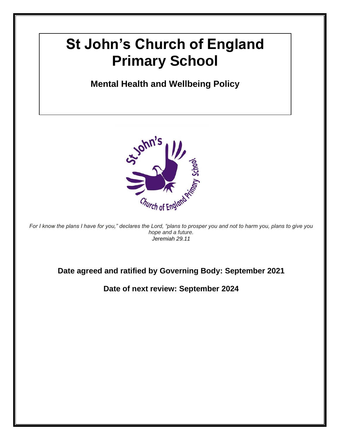# **St John's Church of England Primary School**

## **Mental Health and Wellbeing Policy**



*For I know the plans I have for you," declares the Lord, "plans to prosper you and not to harm you, plans to give you hope and a future. Jeremiah 29.11*

#### **Date agreed and ratified by Governing Body: September 2021**

**Date of next review: September 2024**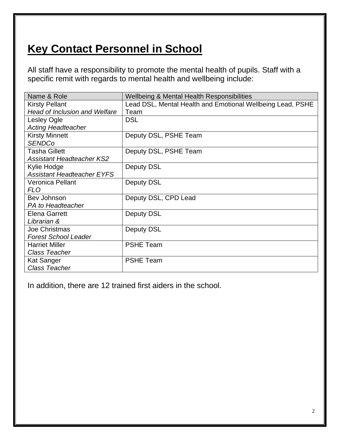# **Key Contact Personnel in School**

All staff have a responsibility to promote the mental health of pupils. Staff with a specific remit with regards to mental health and wellbeing include:

| Name & Role                          | <b>Wellbeing &amp; Mental Health Responsibilities</b>      |  |
|--------------------------------------|------------------------------------------------------------|--|
| <b>Kirsty Pellant</b>                | Lead DSL, Mental Health and Emotional Wellbeing Lead, PSHE |  |
| <b>Head of Inclusion and Welfare</b> | Team                                                       |  |
| <b>Lesley Ogle</b>                   | <b>DSL</b>                                                 |  |
| <b>Acting Headteacher</b>            |                                                            |  |
| <b>Kirsty Minnett</b>                | Deputy DSL, PSHE Team                                      |  |
| <b>SENDCo</b>                        |                                                            |  |
| <b>Tasha Gillett</b>                 | Deputy DSL, PSHE Team                                      |  |
| <b>Assistant Headteacher KS2</b>     |                                                            |  |
| Kylie Hodge                          | <b>Deputy DSL</b>                                          |  |
| <b>Assistant Headteacher EYFS</b>    |                                                            |  |
| <b>Veronica Pellant</b>              | Deputy DSL                                                 |  |
| <b>FLO</b>                           |                                                            |  |
| Bev Johnson                          | Deputy DSL, CPD Lead                                       |  |
| PA to Headteacher                    |                                                            |  |
| <b>Elena Garrett</b>                 | Deputy DSL                                                 |  |
| Librarian &                          |                                                            |  |
| Joe Christmas                        | <b>Deputy DSL</b>                                          |  |
| <b>Forest School Leader</b>          |                                                            |  |
| <b>Harriet Miller</b>                | <b>PSHE Team</b>                                           |  |
| <b>Class Teacher</b>                 |                                                            |  |
| Kat Sanger                           | <b>PSHE Team</b>                                           |  |
| <b>Class Teacher</b>                 |                                                            |  |

In addition, there are 12 trained first aiders in the school.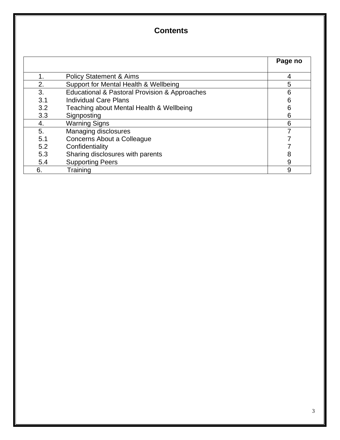### **Contents**

|     |                                               | Page no |
|-----|-----------------------------------------------|---------|
| 1.  | <b>Policy Statement &amp; Aims</b>            | 4       |
| 2.  | Support for Mental Health & Wellbeing         | 5       |
| 3.  | Educational & Pastoral Provision & Approaches | 6       |
| 3.1 | <b>Individual Care Plans</b>                  | 6       |
| 3.2 | Teaching about Mental Health & Wellbeing      | 6       |
| 3.3 | Signposting                                   | 6       |
| 4.  | <b>Warning Signs</b>                          | 6       |
| 5.  | Managing disclosures                          |         |
| 5.1 | Concerns About a Colleague                    |         |
| 5.2 | Confidentiality                               |         |
| 5.3 | Sharing disclosures with parents              | 8       |
| 5.4 | <b>Supporting Peers</b>                       | 9       |
| 6.  | Training                                      | 9       |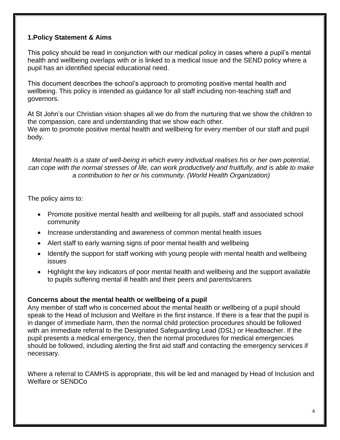#### **1.Policy Statement & Aims**

This policy should be read in conjunction with our medical policy in cases where a pupil's mental health and wellbeing overlaps with or is linked to a medical issue and the SEND policy where a pupil has an identified special educational need.

This document describes the school's approach to promoting positive mental health and wellbeing. This policy is intended as guidance for all staff including non-teaching staff and governors.

At St John's our Christian vision shapes all we do from the nurturing that we show the children to the compassion, care and understanding that we show each other. We aim to promote positive mental health and wellbeing for every member of our staff and pupil body.

*Mental health is a state of well-being in which every individual realises his or her own potential, can cope with the normal stresses of life, can work productively and fruitfully, and is able to make a contribution to her or his community. (World Health Organization)*

The policy aims to:

- Promote positive mental health and wellbeing for all pupils, staff and associated school community
- Increase understanding and awareness of common mental health issues
- Alert staff to early warning signs of poor mental health and wellbeing
- Identify the support for staff working with young people with mental health and wellbeing issues
- Highlight the key indicators of poor mental health and wellbeing and the support available to pupils suffering mental ill health and their peers and parents/carers

#### **Concerns about the mental health or wellbeing of a pupil**

Any member of staff who is concerned about the mental health or wellbeing of a pupil should speak to the Head of Inclusion and Welfare in the first instance. If there is a fear that the pupil is in danger of immediate harm, then the normal child protection procedures should be followed with an immediate referral to the Designated Safeguarding Lead (DSL) or Headteacher. If the pupil presents a medical emergency, then the normal procedures for medical emergencies should be followed, including alerting the first aid staff and contacting the emergency services if necessary.

Where a referral to CAMHS is appropriate, this will be led and managed by Head of Inclusion and Welfare or SENDCo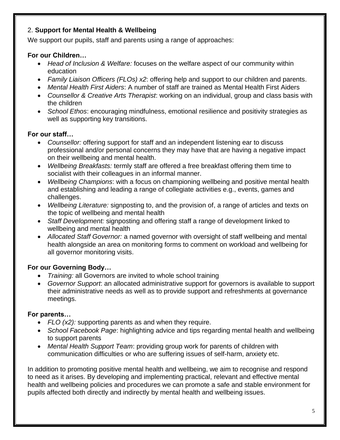#### 2. **Support for Mental Health & Wellbeing**

We support our pupils, staff and parents using a range of approaches:

#### **For our Children…**

- *Head of Inclusion & Welfare:* focuses on the welfare aspect of our community within education
- *Family Liaison Officers (FLOs) x2*: offering help and support to our children and parents.
- *Mental Health First Aiders*: A number of staff are trained as Mental Health First Aiders
- *Counsellor & Creative Arts Therapist*: working on an individual, group and class basis with the children
- *School Ethos*: encouraging mindfulness, emotional resilience and positivity strategies as well as supporting key transitions.

#### **For our staff…**

- *Counsellor:* offering support for staff and an independent listening ear to discuss professional and/or personal concerns they may have that are having a negative impact on their wellbeing and mental health.
- *Wellbeing Breakfasts:* termly staff are offered a free breakfast offering them time to socialist with their colleagues in an informal manner.
- *Wellbeing Champions*: with a focus on championing wellbeing and positive mental health and establishing and leading a range of collegiate activities e.g., events, games and challenges.
- *Wellbeing Literature:* signposting to, and the provision of, a range of articles and texts on the topic of wellbeing and mental health
- *Staff Development:* signposting and offering staff a range of development linked to wellbeing and mental health
- *Allocated Staff Governor:* a named governor with oversight of staff wellbeing and mental health alongside an area on monitoring forms to comment on workload and wellbeing for all governor monitoring visits.

#### **For our Governing Body…**

- *Training:* all Governors are invited to whole school training
- *Governor Support*: an allocated administrative support for governors is available to support their administrative needs as well as to provide support and refreshments at governance meetings.

#### **For parents…**

- *FLO (x2):* supporting parents as and when they require.
- *School Facebook Page*: highlighting advice and tips regarding mental health and wellbeing to support parents
- *Mental Health Support Team*: providing group work for parents of children with communication difficulties or who are suffering issues of self-harm, anxiety etc.

In addition to promoting positive mental health and wellbeing, we aim to recognise and respond to need as it arises. By developing and implementing practical, relevant and effective mental health and wellbeing policies and procedures we can promote a safe and stable environment for pupils affected both directly and indirectly by mental health and wellbeing issues.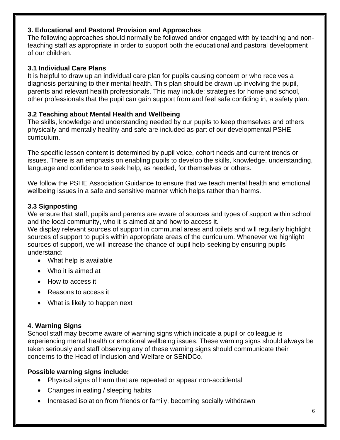#### **3. Educational and Pastoral Provision and Approaches**

The following approaches should normally be followed and/or engaged with by teaching and nonteaching staff as appropriate in order to support both the educational and pastoral development of our children.

#### **3.1 Individual Care Plans**

It is helpful to draw up an individual care plan for pupils causing concern or who receives a diagnosis pertaining to their mental health. This plan should be drawn up involving the pupil, parents and relevant health professionals. This may include: strategies for home and school, other professionals that the pupil can gain support from and feel safe confiding in, a safety plan.

#### **3.2 Teaching about Mental Health and Wellbeing**

The skills, knowledge and understanding needed by our pupils to keep themselves and others physically and mentally healthy and safe are included as part of our developmental PSHE curriculum.

The specific lesson content is determined by pupil voice, cohort needs and current trends or issues. There is an emphasis on enabling pupils to develop the skills, knowledge, understanding, language and confidence to seek help, as needed, for themselves or others.

We follow the PSHE Association Guidance to ensure that we teach mental health and emotional wellbeing issues in a safe and sensitive manner which helps rather than harms.

#### **3.3 Signposting**

We ensure that staff, pupils and parents are aware of sources and types of support within school and the local community, who it is aimed at and how to access it.

We display relevant sources of support in communal areas and toilets and will regularly highlight sources of support to pupils within appropriate areas of the curriculum. Whenever we highlight sources of support, we will increase the chance of pupil help-seeking by ensuring pupils understand:

- What help is available
- Who it is aimed at
- How to access it
- Reasons to access it
- What is likely to happen next

#### **4. Warning Signs**

School staff may become aware of warning signs which indicate a pupil or colleague is experiencing mental health or emotional wellbeing issues. These warning signs should always be taken seriously and staff observing any of these warning signs should communicate their concerns to the Head of Inclusion and Welfare or SENDCo.

#### **Possible warning signs include:**

- Physical signs of harm that are repeated or appear non-accidental
- Changes in eating / sleeping habits
- Increased isolation from friends or family, becoming socially withdrawn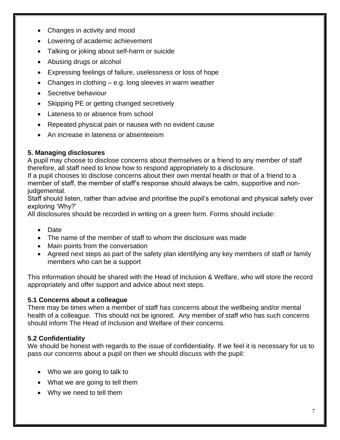- Changes in activity and mood
- Lowering of academic achievement
- Talking or joking about self-harm or suicide
- Abusing drugs or alcohol
- Expressing feelings of failure, uselessness or loss of hope
- Changes in clothing  $-$  e.g. long sleeves in warm weather
- Secretive behaviour
- Skipping PE or getting changed secretively
- Lateness to or absence from school
- Repeated physical pain or nausea with no evident cause
- An increase in lateness or absenteeism

#### **5. Managing disclosures**

A pupil may choose to disclose concerns about themselves or a friend to any member of staff therefore, all staff need to know how to respond appropriately to a disclosure.

If a pupil chooses to disclose concerns about their own mental health or that of a friend to a member of staff, the member of staff's response should always be calm, supportive and nonjudgemental.

Staff should listen, rather than advise and prioritise the pupil's emotional and physical safety over exploring 'Why?'

All disclosures should be recorded in writing on a green form. Forms should include:

- Date
- The name of the member of staff to whom the disclosure was made
- Main points from the conversation
- Agreed next steps as part of the safety plan identifying any key members of staff or family members who can be a support

This information should be shared with the Head of Inclusion & Welfare, who will store the record appropriately and offer support and advice about next steps.

#### **5.1 Concerns about a colleague**

There may be times when a member of staff has concerns about the wellbeing and/or mental health of a colleague. This should not be ignored. Any member of staff who has such concerns should inform The Head of Inclusion and Welfare of their concerns.

#### **5.2 Confidentiality**

We should be honest with regards to the issue of confidentiality. If we feel it is necessary for us to pass our concerns about a pupil on then we should discuss with the pupil:

- Who we are going to talk to
- What we are going to tell them
- Why we need to tell them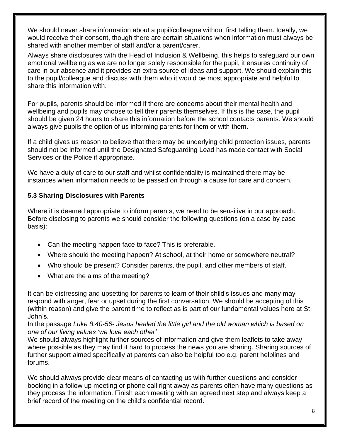We should never share information about a pupil/colleague without first telling them. Ideally, we would receive their consent, though there are certain situations when information must always be shared with another member of staff and/or a parent/carer.

Always share disclosures with the Head of Inclusion & Wellbeing, this helps to safeguard our own emotional wellbeing as we are no longer solely responsible for the pupil, it ensures continuity of care in our absence and it provides an extra source of ideas and support. We should explain this to the pupil/colleague and discuss with them who it would be most appropriate and helpful to share this information with.

For pupils, parents should be informed if there are concerns about their mental health and wellbeing and pupils may choose to tell their parents themselves. If this is the case, the pupil should be given 24 hours to share this information before the school contacts parents. We should always give pupils the option of us informing parents for them or with them.

If a child gives us reason to believe that there may be underlying child protection issues, parents should not be informed until the Designated Safeguarding Lead has made contact with Social Services or the Police if appropriate.

We have a duty of care to our staff and whilst confidentiality is maintained there may be instances when information needs to be passed on through a cause for care and concern.

#### **5.3 Sharing Disclosures with Parents**

Where it is deemed appropriate to inform parents, we need to be sensitive in our approach. Before disclosing to parents we should consider the following questions (on a case by case basis):

- Can the meeting happen face to face? This is preferable.
- Where should the meeting happen? At school, at their home or somewhere neutral?
- Who should be present? Consider parents, the pupil, and other members of staff.
- What are the aims of the meeting?

It can be distressing and upsetting for parents to learn of their child's issues and many may respond with anger, fear or upset during the first conversation. We should be accepting of this (within reason) and give the parent time to reflect as is part of our fundamental values here at St John's.

In the passage *Luke 8:40-56- Jesus healed the little girl and the old woman which is based on one of our living values 'we love each other'*

We should always highlight further sources of information and give them leaflets to take away where possible as they may find it hard to process the news you are sharing. Sharing sources of further support aimed specifically at parents can also be helpful too e.g. parent helplines and forums.

We should always provide clear means of contacting us with further questions and consider booking in a follow up meeting or phone call right away as parents often have many questions as they process the information. Finish each meeting with an agreed next step and always keep a brief record of the meeting on the child's confidential record.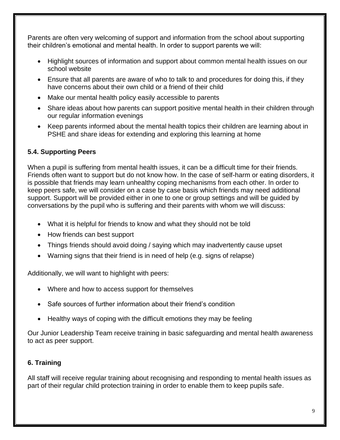Parents are often very welcoming of support and information from the school about supporting their children's emotional and mental health. In order to support parents we will:

- Highlight sources of information and support about common mental health issues on our school website
- Ensure that all parents are aware of who to talk to and procedures for doing this, if they have concerns about their own child or a friend of their child
- Make our mental health policy easily accessible to parents
- Share ideas about how parents can support positive mental health in their children through our regular information evenings
- Keep parents informed about the mental health topics their children are learning about in PSHE and share ideas for extending and exploring this learning at home

#### **5.4. Supporting Peers**

When a pupil is suffering from mental health issues, it can be a difficult time for their friends. Friends often want to support but do not know how. In the case of self-harm or eating disorders, it is possible that friends may learn unhealthy coping mechanisms from each other. In order to keep peers safe, we will consider on a case by case basis which friends may need additional support. Support will be provided either in one to one or group settings and will be guided by conversations by the pupil who is suffering and their parents with whom we will discuss:

- What it is helpful for friends to know and what they should not be told
- How friends can best support
- Things friends should avoid doing / saying which may inadvertently cause upset
- Warning signs that their friend is in need of help (e.g. signs of relapse)

Additionally, we will want to highlight with peers:

- Where and how to access support for themselves
- Safe sources of further information about their friend's condition
- Healthy ways of coping with the difficult emotions they may be feeling

Our Junior Leadership Team receive training in basic safeguarding and mental health awareness to act as peer support.

#### **6. Training**

All staff will receive regular training about recognising and responding to mental health issues as part of their regular child protection training in order to enable them to keep pupils safe.